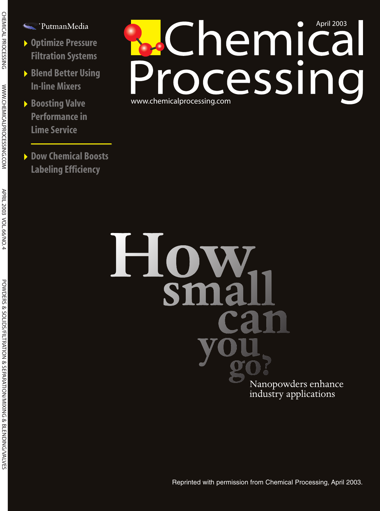- < PutmanMedia
- 4**Optimize Pressure Filtration Systems**
- 4**Blend Better Using In-line Mixers**
- 4**Boosting Valve Performance in Lime Service**
- 4**Dow Chemical Boosts Labeling Efficiency**

# www.chemicalprocessing.com **Chemical**<br>ocessing

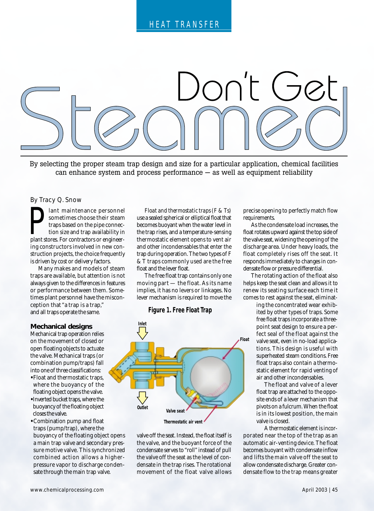

By selecting the proper steam trap design and size for a particular application, chemical facilities can enhance system and process performance — as well as equipment reliability

By Tracy Q. Snow

and statement in a sometimes choose their steam traps based on the pipe connection size and trap availability in plant stores. For contractors or engineerlant maintenance personnel sometimes choose their steam traps based on the pipe connection size and trap availability in ing constructors involved in new construction projects, the choice frequently is driven by cost or delivery factors.

Many makes and models of steam traps are available, but attention is not always given to the differences in features or performance between them. Sometimes plant personnel have the misconception that "a trap is a trap," and all traps operate the same.

### **Mechanical designs**

Mechanical trap operation relies on the movement of closed or open floating objects to actuate the valve. Mechanical traps (or combination pump/traps) fall into one of three classifications:

- Float and thermostatic traps, where the buoyancy of the floating object opens the valve.
- Inverted bucket traps, where the buoyancy of the floating object closes the valve.
- Combination pump and float traps (pump/trap), where the buoyancy of the floating object opens a main trap valve and secondary pressure motive valve. This synchronized combined action allows a higherpressure vapor to discharge condensate through the main trap valve.

*Float and thermostatic traps (F & Ts)* use a sealed spherical or elliptical float that becomes buoyant when the water level in the trap rises, and a temperature-sensing thermostatic element opens to vent air and other incondensables that enter the trap during operation. The two types of F & T traps commonly used are the free float and the lever float.

The free float trap contains only one moving part — the float. As its name implies, it has no levers or linkages. No lever mechanism is required to move the

# **Figure 1. Free Float Trap**



valve off the seat. Instead, the float itself is the valve, and the buoyant force of the condensate serves to "roll" instead of pull the valve off the seat as the level of condensate in the trap rises. The rotational movement of the float valve allows

precise opening to perfectly match flow requirements.

As the condensate load increases, the float rotates upward against the top side of the valve seat, widening the opening of the discharge area. Under heavy loads, the float completely rises off the seat. It responds immediately to changes in condensate flow or pressure differential.

The rotating action of the float also helps keep the seat clean and allows it to renew its seating surface each time it comes to rest against the seat, eliminat-

> ing the concentrated wear exhibited by other types of traps. Some free float traps incorporate a threepoint seat design to ensure a perfect seal of the float against the valve seat, even in no-load applications. This design is useful with superheated steam conditions. Free float traps also contain a thermostatic element for rapid venting of air and other incondensables.

The float and valve of a lever float trap are attached to the opposite ends of a lever mechanism that pivots on a fulcrum. When the float is in its lowest position, the main valve is closed.

A thermostatic element is incorporated near the top of the trap as an automatic air-venting device. The float becomes buoyant with condensate inflow and lifts the main valve off the seat to allow condensate discharge. Greater condensate flow to the trap means greater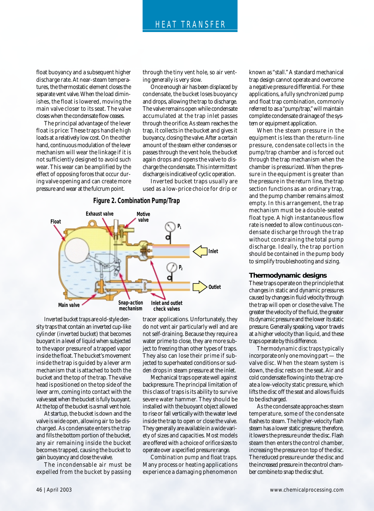float buoyancy and a subsequent higher discharge rate. At near-steam temperatures, the thermostatic element closes the separate vent valve. When the load diminishes, the float is lowered, moving the main valve closer to its seat. The valve closes when the condensate flow ceases.

The principal advantage of the lever float is price: These traps handle high loads at a relatively low cost. On the other hand, continuous modulation of the lever mechanism will wear the linkage if it is not sufficiently designed to avoid such wear. This wear can be amplified by the effect of opposing forces that occur during valve opening and can create more pressure and wear at the fulcrum point.

through the tiny vent hole, so air venting generally is very slow.

Once enough air has been displaced by condensate, the bucket loses buoyancy and drops, allowing the trap to discharge. The valve remains open while condensate accumulated at the trap inlet passes through the orifice. As steam reaches the trap, it collects in the bucket and gives it buoyancy, closing the valve. After a certain amount of the steam either condenses or passes through the vent hole, the bucket again drops and opens the valve to discharge the condensate. This intermittent discharge is indicative of cyclic operation.

Inverted bucket traps usually are used as a low-price choice for drip or

# **Figure 2. Combination Pump/Trap**



*Inverted bucket traps* are old-style density traps that contain an inverted cup-like cylinder (inverted bucket) that becomes buoyant in a level of liquid when subjected to the vapor pressure of a trapped vapor inside the float. The bucket's movement inside the trap is guided by a lever arm mechanism that is attached to both the bucket and the top of the trap. The valve head is positioned on the top side of the lever arm, coming into contact with the valve seat when the bucket is fully buoyant. At the top of the bucket is a small vent hole.

At startup, the bucket is down and the valve is wide open, allowing air to be discharged. As condensate enters the trap and fills the bottom portion of the bucket, any air remaining inside the bucket becomes trapped, causing the bucket to gain buoyancy and close the valve.

The incondensable air must be expelled from the bucket by passing

tracer applications. Unfortunately, they do not vent air particularly well and are not self-draining. Because they require a water prime to close, they are more subject to freezing than other types of traps. They also can lose their prime if subjected to superheated conditions or sudden drops in steam pressure at the inlet.

Mechanical traps operate well against backpressure. The principal limitation of this class of traps is its ability to survive severe water hammer. They should be installed with the buoyant object allowed to rise or fall vertically with the water level inside the trap to open or close the valve. They generally are available in a wide variety of sizes and capacities. Most models are offered with a choice of orifice sizes to operate over a specified pressure range.

*Combination pump and float traps*. Many process or heating applications experience a damaging phenomenon known as "stall." A standard mechanical trap design cannot operate and overcome a negative pressure differential. For these applications, a fully synchronized pump and float trap combination, commonly referred to as a "pump/trap," will maintain complete condensate drainage of the system or equipment application.

When the steam pressure in the equipment is less than the return-line pressure, condensate collects in the pump/trap chamber and is forced out through the trap mechanism when the chamber is pressurized. When the pressure in the equipment is greater than the pressure in the return line, the trap section functions as an ordinary trap, and the pump chamber remains almost empty. In this arrangement, the trap mechanism must be a double-seated float type. A high instantaneous flow rate is needed to allow continuous condensate discharge through the trap without constraining the total pump discharge. Ideally, the trap portion should be contained in the pump body to simplify troubleshooting and sizing.

## **Thermodynamic designs**

These traps operate on the principle that changes in static and dynamic pressures caused by changes in fluid velocity through the trap will open or close the valve. The greater the velocity of the fluid, the greater its dynamic pressure and the lower its static pressure. Generally speaking, vapor travels at a higher velocity than liquid, and these traps operate by this difference.

*Thermodynamic disc traps* typically incorporate only one moving part — the valve disc. When the steam system is down, the disc rests on the seat. Air and cold condensate flowing into the trap create a low-velocity static pressure, which lifts the disc off the seat and allows fluids to be discharged.

As the condensate approaches steam temperature, some of the condensate flashes to steam. The higher-velocity flash steam has a lower static pressure; therefore, it lowers the pressure under the disc. Flash steam then enters the control chamber, increasing the pressure on top of the disc. The reduced pressure under the disc and the increased pressure in the control chamber combine to snap the disc shut.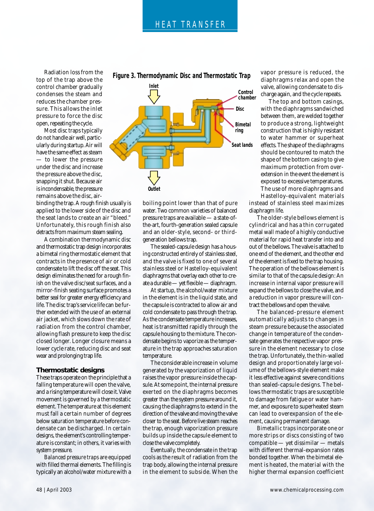Radiation loss from the top of the trap above the control chamber gradually condenses the steam and reduces the chamber pressure. This allows the inlet pressure to force the disc open, repeating the cycle.

Most disc traps typically do not handle air well, particularly during startup. Air will have the same effect as steam — to lower the pressure under the disc and increase the pressure above the disc, snapping it shut. Because air is incondensable, the pressure remains above the disc, air-

binding the trap. A rough finish usually is applied to the lower side of the disc and the seat lands to create an air "bleed." Unfortunately, this rough finish also detracts from maximum steam sealing.

A combination thermodynamic disc and thermostatic trap design incorporates a bimetal ring thermostatic element that contracts in the presence of air or cold condensate to lift the disc off the seat. This design eliminates the need for a rough finish on the valve disc/seat surfaces, and a mirror-finish seating surface promotes a better seal for greater energy efficiency and life. The disc trap's service life can be further extended with the use of an external air jacket, which slows down the rate of radiation from the control chamber, allowing flash pressure to keep the disc closed longer. Longer closure means a lower cycle rate, reducing disc and seat wear and prolonging trap life.

### **Thermostatic designs**

These traps operate on the principle that a falling temperature will open the valve, and a rising temperature will close it. Valve movement is governed by a thermostatic element. The temperature at this element must fall a certain number of degrees below saturation temperature before condensate can be discharged. In certain designs, the element's controlling temperature is constant; in others, it varies with system pressure.

*Balanced pressure traps* are equipped with filled thermal elements. The filling is typically an alcohol/water mixture with a

**Figure 3. Thermodynamic Disc and Thermostatic Trap**



boiling point lower than that of pure water. Two common varieties of balanced pressure traps are available — a state-ofthe-art, fourth-generation sealed capsule and an older-style, second- or thirdgeneration bellows trap.

The sealed-capsule design has a housing constructed entirely of stainless steel, and the valve is fixed to one of several stainless steel or Hastelloy-equivalent diaphragms that overlay each other to create a durable — yet flexible — diaphragm.

At startup, the alcohol/water mixture in the element is in the liquid state, and the capsule is contracted to allow air and cold condensate to pass through the trap. As the condensate temperature increases, heat is transmitted rapidly through the capsule housing to the mixture. The condensate begins to vaporize as the temperature in the trap approaches saturation temperature.

The considerable increase in volume generated by the vaporization of liquid raises the vapor pressure inside the capsule. At some point, the internal pressure exerted on the diaphragms becomes greater than the system pressure around it, causing the diaphragms to extend in the direction of the valve and moving the valve closer to the seat. Before live steam reaches the trap, enough vaporization pressure builds up inside the capsule element to close the valve completely.

Eventually, the condensate in the trap cools as the result of radiation from the trap body, allowing the internal pressure in the element to subside. When the vapor pressure is reduced, the diaphragms relax and open the valve, allowing condensate to discharge again, and the cycle repeats.

The top and bottom casings, with the diaphragms sandwiched between them, are welded together to produce a strong, lightweight construction that is highly resistant to water hammer or superheat effects. The shape of the diaphragms should be contoured to match the shape of the bottom casing to give maximum protection from overextension in the event the element is exposed to excessive temperatures. The use of more diaphragms and Hastelloy-equivalent materials

instead of stainless steel maximizes diaphragm life.

The older-style bellows element is cylindrical and has a thin corrugated metal wall made of a highly conductive material for rapid heat transfer into and out of the bellows. The valve is attached to one end of the element, and the other end of the element is fixed to the trap housing. The operation of the bellows element is similar to that of the capsule design: An increase in internal vapor pressure will expand the bellows to close the valve, and a reduction in vapor pressure will contract the bellows and open the valve.

The balanced-pressure element automatically adjusts to changes in steam pressure because the associated change in temperature of the condensate generates the respective vapor pressure in the element necessary to close the trap. Unfortunately, the thin-walled design and proportionately large volume of the bellows-style element make it less effective against severe conditions than sealed-capsule designs. The bellows thermostatic traps are susceptible to damage from fatigue or water hammer, and exposure to superheated steam can lead to overexpansion of the element, causing permanent damage.

*Bimetallic traps* incorporate one or more strips or discs consisting of two compatible — yet dissimilar — metals with different thermal-expansion rates bonded together. When the bimetal element is heated, the material with the higher thermal expansion coefficient